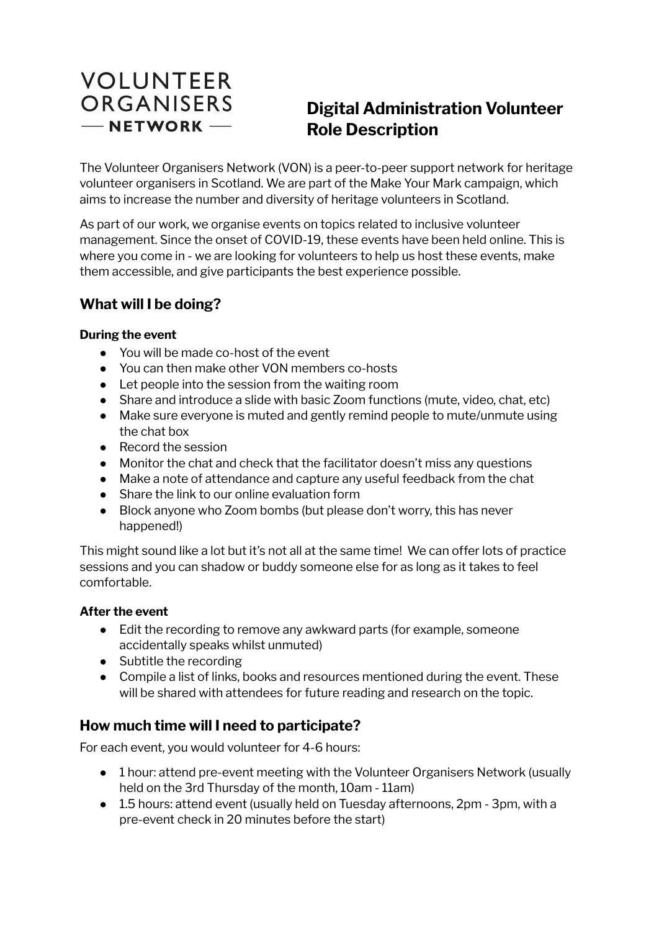# **VOLUNTEER** ORGANISERS  $-$ NETWORK $-$

## **Digital Administration Volunteer Role Description**

The Volunteer Organisers Network (VON) is a peer-to-peer support network for heritage volunteer organisers in Scotland. We are part of the Make Your Mark campaign, which aims to increase the number and diversity of heritage volunteers in Scotland.

As part of our work, we organise events on topics related to inclusive volunteer management. Since the onset of COVID-19, these events have been held online. This is where you come in - we are looking for volunteers to help us host these events, make them accessible, and give participants the best experience possible.

## **What will I be doing?**

#### **During the event**

- You will be made co-host of the event
- You can then make other VON members co-hosts
- Let people into the session from the waiting room
- Share and introduce a slide with basic Zoom functions (mute, video, chat, etc)
- Make sure everyone is muted and gently remind people to mute/unmute using the chat box
- Record the session
- Monitor the chat and check that the facilitator doesn't miss any questions
- Make a note of attendance and capture any useful feedback from the chat
- Share the link to our online evaluation form
- Block anyone who Zoom bombs (but please don't worry, this has never happened!)

This might sound like a lot but it's not all at the same time! We can offer lots of practice sessions and you can shadow or buddy someone else for as long as it takes to feel comfortable.

#### **After the event**

- Edit the recording to remove any awkward parts (for example, someone accidentally speaks whilst unmuted)
- Subtitle the recording
- Compile a list of links, books and resources mentioned during the event. These will be shared with attendees for future reading and research on the topic.

### **How much time will I need to participate?**

For each event, you would volunteer for 4-6 hours:

- 1 hour: attend pre-event meeting with the Volunteer Organisers Network (usually held on the 3rd Thursday of the month, 10am - 11am)
- 1.5 hours: attend event (usually held on Tuesday afternoons, 2pm 3pm, with a pre-event check in 20 minutes before the start)